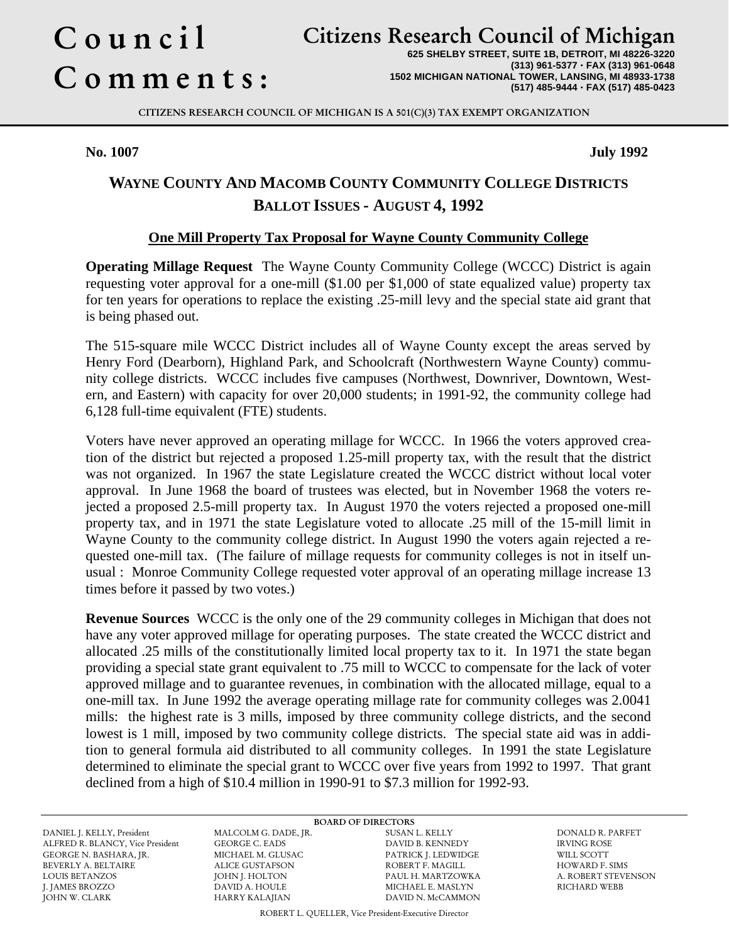# Council Comments :

# Citizens Research Council of Michigan

**625 SHELBY STREET, SUITE 1B, DETROIT, MI 48226-3220 (313) 961-5377** · **FAX (313) 961-0648 1502 MICHIGAN NATIONAL TOWER, LANSING, MI 48933-1738 (517) 485-9444** · **FAX (517) 485-0423**

CITIZENS RESEARCH COUNCIL OF MICHIGAN IS A 501(C)(3) TAX EXEMPT ORGANIZATION

**No. 1007 July 1992**

## **WAYNE COUNTY AND MACOMB COUNTY COMMUNITY COLLEGE DISTRICTS BALLOT ISSUES - AUGUST 4, 1992**

#### **One Mill Property Tax Proposal for Wayne County Community College**

**Operating Millage Request** The Wayne County Community College (WCCC) District is again requesting voter approval for a one-mill (\$1.00 per \$1,000 of state equalized value) property tax for ten years for operations to replace the existing .25-mill levy and the special state aid grant that is being phased out.

The 515-square mile WCCC District includes all of Wayne County except the areas served by Henry Ford (Dearborn), Highland Park, and Schoolcraft (Northwestern Wayne County) community college districts. WCCC includes five campuses (Northwest, Downriver, Downtown, Western, and Eastern) with capacity for over 20,000 students; in 1991-92, the community college had 6,128 full-time equivalent (FTE) students.

Voters have never approved an operating millage for WCCC. In 1966 the voters approved creation of the district but rejected a proposed 1.25-mill property tax, with the result that the district was not organized. In 1967 the state Legislature created the WCCC district without local voter approval. In June 1968 the board of trustees was elected, but in November 1968 the voters rejected a proposed 2.5-mill property tax. In August 1970 the voters rejected a proposed one-mill property tax, and in 1971 the state Legislature voted to allocate .25 mill of the 15-mill limit in Wayne County to the community college district. In August 1990 the voters again rejected a requested one-mill tax. (The failure of millage requests for community colleges is not in itself unusual : Monroe Community College requested voter approval of an operating millage increase 13 times before it passed by two votes.)

**Revenue Sources** WCCC is the only one of the 29 community colleges in Michigan that does not have any voter approved millage for operating purposes. The state created the WCCC district and allocated .25 mills of the constitutionally limited local property tax to it. In 1971 the state began providing a special state grant equivalent to .75 mill to WCCC to compensate for the lack of voter approved millage and to guarantee revenues, in combination with the allocated millage, equal to a one-mill tax. In June 1992 the average operating millage rate for community colleges was 2.0041 mills: the highest rate is 3 mills, imposed by three community college districts, and the second lowest is 1 mill, imposed by two community college districts. The special state aid was in addition to general formula aid distributed to all community colleges. In 1991 the state Legislature determined to eliminate the special grant to WCCC over five years from 1992 to 1997. That grant declined from a high of \$10.4 million in 1990-91 to \$7.3 million for 1992-93.

DANIEL J. KELLY, President MALCOLM G. DADE, JR. SUSAN L. KELLY DONALD R. PARFET ALFRED R. BLANCY, Vice President GEORGE N. BASHARA, JR. MICHAEL M. GLUSAC PATRICK J. LEDWIDGE WILL SCOTT BEVERLY A. BELTAIRE ALICE GUSTAFSON ROBERT F. MAGILL HOWARD F. SIMS LOUIS BETANZOS JOHN J. HOLTON PAUL H. MARTZOWKA A. ROBERT STEVENSON JOHN W. CLARK HARRY KALAJIAN DAVID N. McCAMMON

BOARD OF DIRECTORS<br>MALCOLM G. DADE, JR. SUSAN L. KELLY DAVID A. HOULE MICHAEL E. MASLYN RICHARD WEBB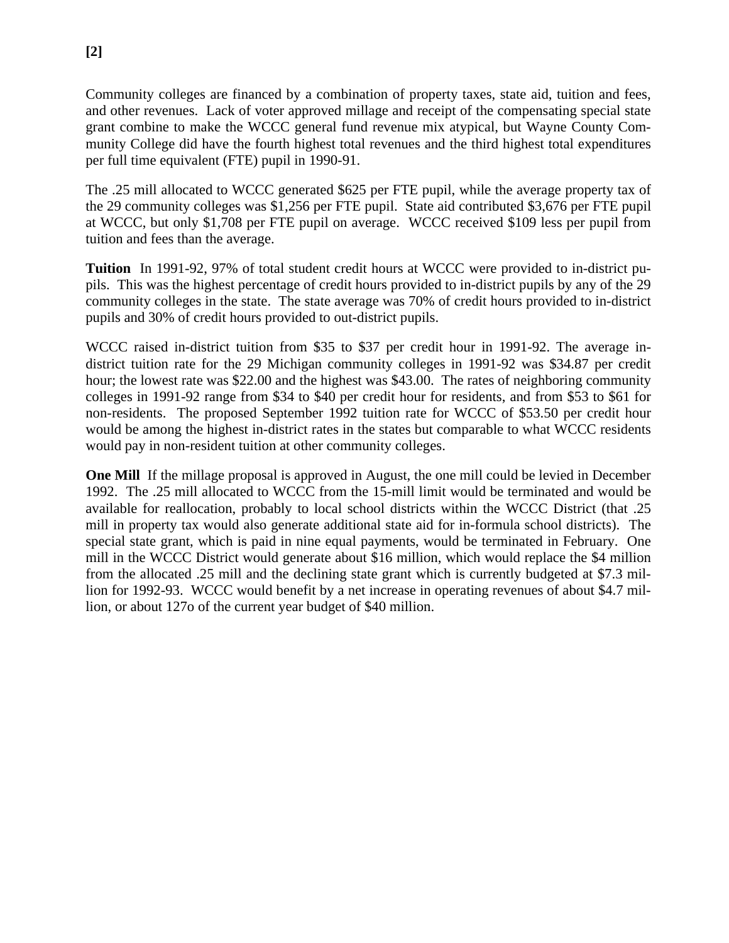Community colleges are financed by a combination of property taxes, state aid, tuition and fees, and other revenues. Lack of voter approved millage and receipt of the compensating special state grant combine to make the WCCC general fund revenue mix atypical, but Wayne County Community College did have the fourth highest total revenues and the third highest total expenditures per full time equivalent (FTE) pupil in 1990-91.

The .25 mill allocated to WCCC generated \$625 per FTE pupil, while the average property tax of the 29 community colleges was \$1,256 per FTE pupil. State aid contributed \$3,676 per FTE pupil at WCCC, but only \$1,708 per FTE pupil on average. WCCC received \$109 less per pupil from tuition and fees than the average.

**Tuition** In 1991-92, 97% of total student credit hours at WCCC were provided to in-district pupils. This was the highest percentage of credit hours provided to in-district pupils by any of the 29 community colleges in the state. The state average was 70% of credit hours provided to in-district pupils and 30% of credit hours provided to out-district pupils.

WCCC raised in-district tuition from \$35 to \$37 per credit hour in 1991-92. The average indistrict tuition rate for the 29 Michigan community colleges in 1991-92 was \$34.87 per credit hour; the lowest rate was \$22.00 and the highest was \$43.00. The rates of neighboring community colleges in 1991-92 range from \$34 to \$40 per credit hour for residents, and from \$53 to \$61 for non-residents. The proposed September 1992 tuition rate for WCCC of \$53.50 per credit hour would be among the highest in-district rates in the states but comparable to what WCCC residents would pay in non-resident tuition at other community colleges.

**One Mill** If the millage proposal is approved in August, the one mill could be levied in December 1992. The .25 mill allocated to WCCC from the 15-mill limit would be terminated and would be available for reallocation, probably to local school districts within the WCCC District (that .25 mill in property tax would also generate additional state aid for in-formula school districts). The special state grant, which is paid in nine equal payments, would be terminated in February. One mill in the WCCC District would generate about \$16 million, which would replace the \$4 million from the allocated .25 mill and the declining state grant which is currently budgeted at \$7.3 million for 1992-93. WCCC would benefit by a net increase in operating revenues of about \$4.7 million, or about 127o of the current year budget of \$40 million.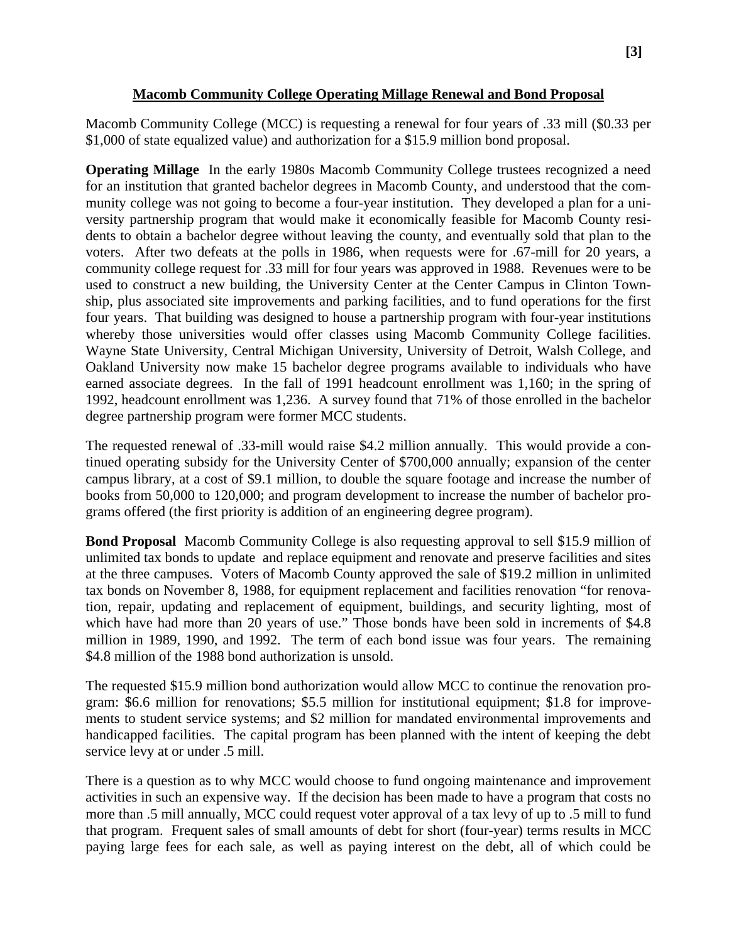#### **Macomb Community College Operating Millage Renewal and Bond Proposal**

Macomb Community College (MCC) is requesting a renewal for four years of .33 mill (\$0.33 per \$1,000 of state equalized value) and authorization for a \$15.9 million bond proposal.

**Operating Millage** In the early 1980s Macomb Community College trustees recognized a need for an institution that granted bachelor degrees in Macomb County, and understood that the community college was not going to become a four-year institution. They developed a plan for a university partnership program that would make it economically feasible for Macomb County residents to obtain a bachelor degree without leaving the county, and eventually sold that plan to the voters. After two defeats at the polls in 1986, when requests were for .67-mill for 20 years, a community college request for .33 mill for four years was approved in 1988. Revenues were to be used to construct a new building, the University Center at the Center Campus in Clinton Township, plus associated site improvements and parking facilities, and to fund operations for the first four years. That building was designed to house a partnership program with four-year institutions whereby those universities would offer classes using Macomb Community College facilities. Wayne State University, Central Michigan University, University of Detroit, Walsh College, and Oakland University now make 15 bachelor degree programs available to individuals who have earned associate degrees. In the fall of 1991 headcount enrollment was 1,160; in the spring of 1992, headcount enrollment was 1,236. A survey found that 71% of those enrolled in the bachelor degree partnership program were former MCC students.

The requested renewal of .33-mill would raise \$4.2 million annually. This would provide a continued operating subsidy for the University Center of \$700,000 annually; expansion of the center campus library, at a cost of \$9.1 million, to double the square footage and increase the number of books from 50,000 to 120,000; and program development to increase the number of bachelor programs offered (the first priority is addition of an engineering degree program).

**Bond Proposal** Macomb Community College is also requesting approval to sell \$15.9 million of unlimited tax bonds to update and replace equipment and renovate and preserve facilities and sites at the three campuses. Voters of Macomb County approved the sale of \$19.2 million in unlimited tax bonds on November 8, 1988, for equipment replacement and facilities renovation "for renovation, repair, updating and replacement of equipment, buildings, and security lighting, most of which have had more than 20 years of use." Those bonds have been sold in increments of \$4.8 million in 1989, 1990, and 1992. The term of each bond issue was four years. The remaining \$4.8 million of the 1988 bond authorization is unsold.

The requested \$15.9 million bond authorization would allow MCC to continue the renovation program: \$6.6 million for renovations; \$5.5 million for institutional equipment; \$1.8 for improvements to student service systems; and \$2 million for mandated environmental improvements and handicapped facilities. The capital program has been planned with the intent of keeping the debt service levy at or under .5 mill.

There is a question as to why MCC would choose to fund ongoing maintenance and improvement activities in such an expensive way. If the decision has been made to have a program that costs no more than .5 mill annually, MCC could request voter approval of a tax levy of up to .5 mill to fund that program. Frequent sales of small amounts of debt for short (four-year) terms results in MCC paying large fees for each sale, as well as paying interest on the debt, all of which could be